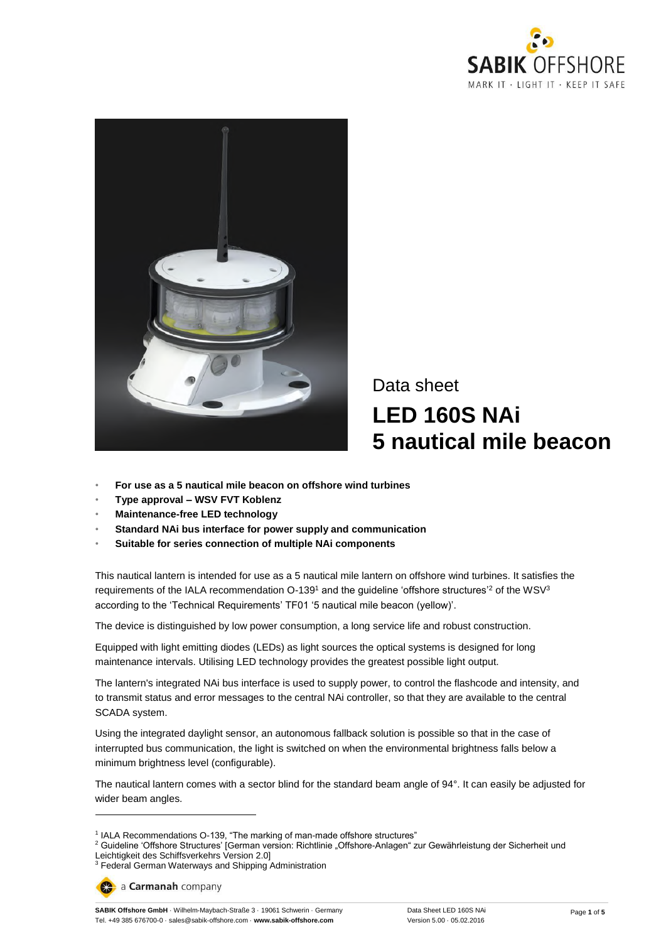



Data sheet **LED 160S NAi 5 nautical mile beacon**

- **For use as a 5 nautical mile beacon on offshore wind turbines**
- **Type approval – WSV FVT Koblenz**
- **Maintenance-free LED technology**
- **Standard NAi bus interface for power supply and communication**
- **Suitable for series connection of multiple NAi components**

This nautical lantern is intended for use as a 5 nautical mile lantern on offshore wind turbines. It satisfies the requirements of the IALA recommendation  $O-139<sup>1</sup>$  and the guideline 'offshore structures'<sup>2</sup> of the WSV<sup>3</sup> according to the 'Technical Requirements' TF01 '5 nautical mile beacon (yellow)'.

The device is distinguished by low power consumption, a long service life and robust construction.

Equipped with light emitting diodes (LEDs) as light sources the optical systems is designed for long maintenance intervals. Utilising LED technology provides the greatest possible light output.

The lantern's integrated NAi bus interface is used to supply power, to control the flashcode and intensity, and to transmit status and error messages to the central NAi controller, so that they are available to the central SCADA system.

Using the integrated daylight sensor, an autonomous fallback solution is possible so that in the case of interrupted bus communication, the light is switched on when the environmental brightness falls below a minimum brightness level (configurable).

The nautical lantern comes with a sector blind for the standard beam angle of 94°. It can easily be adjusted for wider beam angles.

 $\overline{a}$ 

<sup>&</sup>lt;sup>1</sup> IALA Recommendations O-139, "The marking of man-made offshore structures"

<sup>&</sup>lt;sup>2</sup> Guideline 'Offshore Structures' [German version: Richtlinie "Offshore-Anlagen" zur Gewährleistung der Sicherheit und Leichtigkeit des Schiffsverkehrs Version 2.0]

<sup>&</sup>lt;sup>3</sup> Federal German Waterways and Shipping Administration

a Carmanah company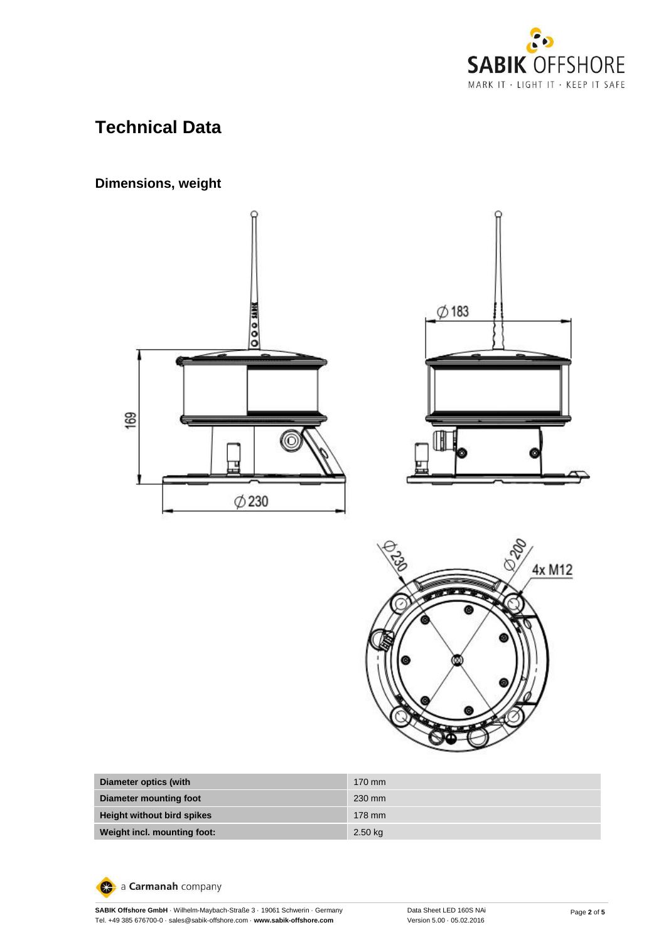

# **Technical Data**

# **Dimensions, weight**







| Diameter optics (with             | $170 \text{ mm}$ |
|-----------------------------------|------------------|
| Diameter mounting foot            | 230 mm           |
| <b>Height without bird spikes</b> | 178 mm           |
| Weight incl. mounting foot:       | $2.50$ kg        |

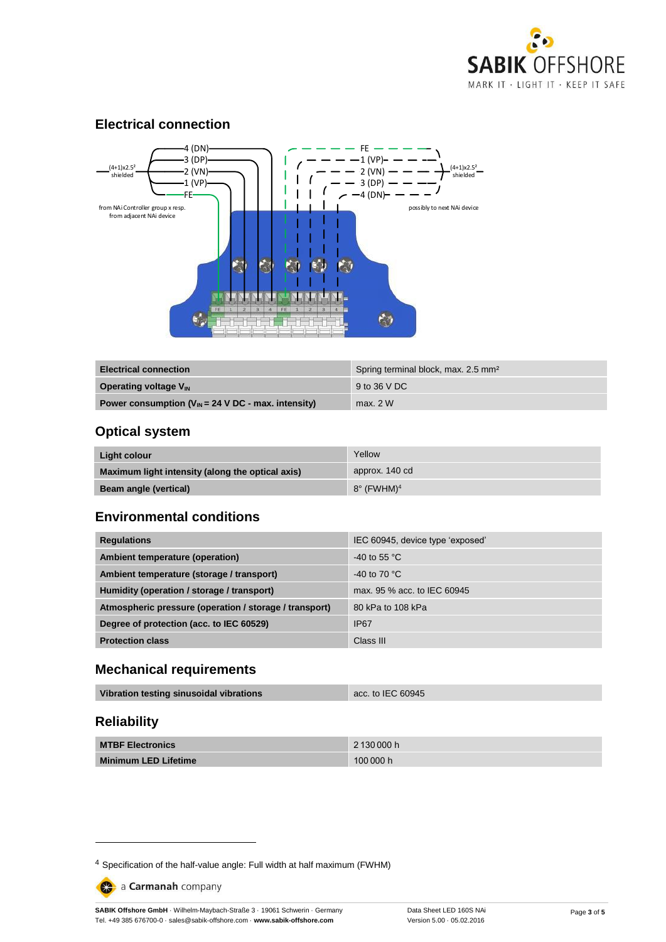

#### **Electrical connection**



| <b>Electrical connection</b>                             | Spring terminal block, max. 2.5 mm <sup>2</sup> |
|----------------------------------------------------------|-------------------------------------------------|
| <b>Operating voltage V<sub>IN</sub></b>                  | 9 to 36 V DC                                    |
| Power consumption ( $V_{IN}$ = 24 V DC - max. intensity) | max. 2 W                                        |

### **Optical system**

| Light colour                                     | Yellow                        |
|--------------------------------------------------|-------------------------------|
| Maximum light intensity (along the optical axis) | approx. 140 cd                |
| <b>Beam angle (vertical)</b>                     | $8^\circ$ (FWHM) <sup>4</sup> |

#### **Environmental conditions**

| <b>Regulations</b>                                     | IEC 60945, device type 'exposed' |
|--------------------------------------------------------|----------------------------------|
| Ambient temperature (operation)                        | $-40$ to 55 °C                   |
| Ambient temperature (storage / transport)              | -40 to 70 $^{\circ}$ C           |
| Humidity (operation / storage / transport)             | max, 95 % acc, to IEC 60945      |
| Atmospheric pressure (operation / storage / transport) | 80 kPa to 108 kPa                |
| Degree of protection (acc. to IEC 60529)               | <b>IP67</b>                      |
| <b>Protection class</b>                                | Class III                        |

#### **Mechanical requirements**

| Vibration testing sinusoidal vibrations | acc. to IEC 60945 |
|-----------------------------------------|-------------------|
|                                         |                   |

# **Reliability**

-

| <b>MTBF Electronics</b>     | 2 130 000 h |
|-----------------------------|-------------|
| <b>Minimum LED Lifetime</b> | 100000h     |

a Carmanah company

**SABIK Offshore GmbH** · Wilhelm-Maybach-Straße 3 · 19061 Schwerin · Germany Tel. +49 385 676700-0 · sales@sabik-offshore.com · **www.sabik-offshore.com**

<sup>4</sup> Specification of the half-value angle: Full width at half maximum (FWHM)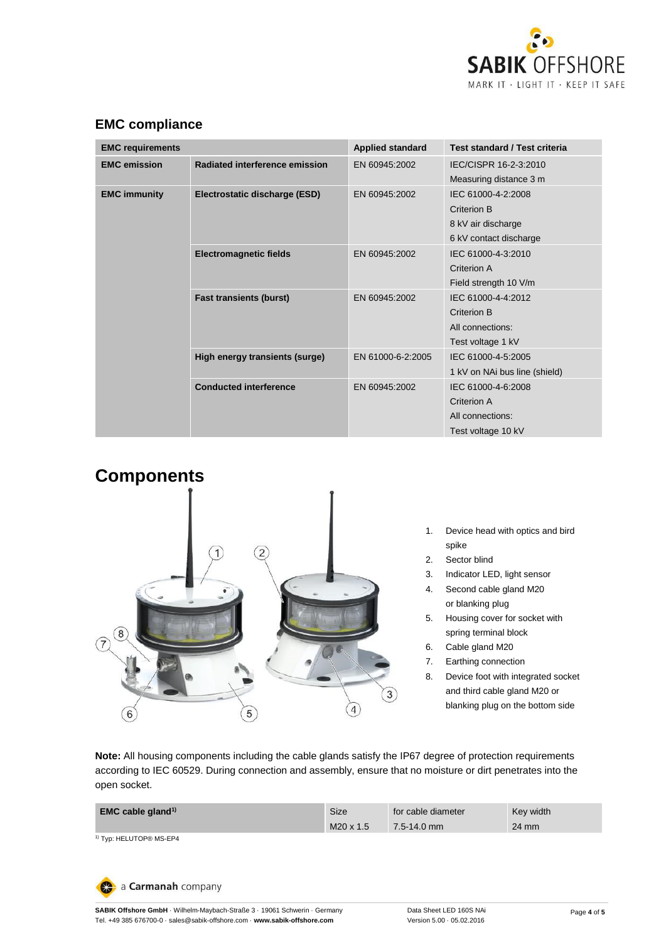

| <b>EMC requirements</b>       |                                | <b>Applied standard</b> | Test standard / Test criteria                                                     |
|-------------------------------|--------------------------------|-------------------------|-----------------------------------------------------------------------------------|
| <b>EMC</b> emission           | Radiated interference emission | EN 60945:2002           | IEC/CISPR 16-2-3:2010<br>Measuring distance 3 m                                   |
| <b>EMC immunity</b>           | Electrostatic discharge (ESD)  | EN 60945:2002           | IEC 61000-4-2:2008<br>Criterion B<br>8 kV air discharge<br>6 kV contact discharge |
|                               | <b>Electromagnetic fields</b>  | EN 60945:2002           | IEC 61000-4-3:2010<br>Criterion A<br>Field strength 10 V/m                        |
|                               | <b>Fast transients (burst)</b> | EN 60945:2002           | IEC 61000-4-4:2012<br>Criterion B<br>All connections:<br>Test voltage 1 kV        |
| <b>Conducted interference</b> | High energy transients (surge) | EN 61000-6-2:2005       | IEC 61000-4-5:2005<br>1 kV on NAi bus line (shield)                               |
|                               |                                | EN 60945:2002           | IEC 61000-4-6:2008<br>Criterion A<br>All connections:<br>Test voltage 10 kV       |

# **EMC compliance**



- 1. Device head with optics and bird spike
- 2. Sector blind
- 3. Indicator LED, light sensor
- 4. Second cable gland M20 or blanking plug
- 5. Housing cover for socket with spring terminal block
- 6. Cable gland M20
- 7. Earthing connection
- 8. Device foot with integrated socket and third cable gland M20 or blanking plug on the bottom side

**Note:** All housing components including the cable glands satisfy the IP67 degree of protection requirements according to IEC 60529. During connection and assembly, ensure that no moisture or dirt penetrates into the open socket.

| 7.5-14.0 mm | 24 mm |
|-------------|-------|
|             |       |
|             |       |

a Carmanah company